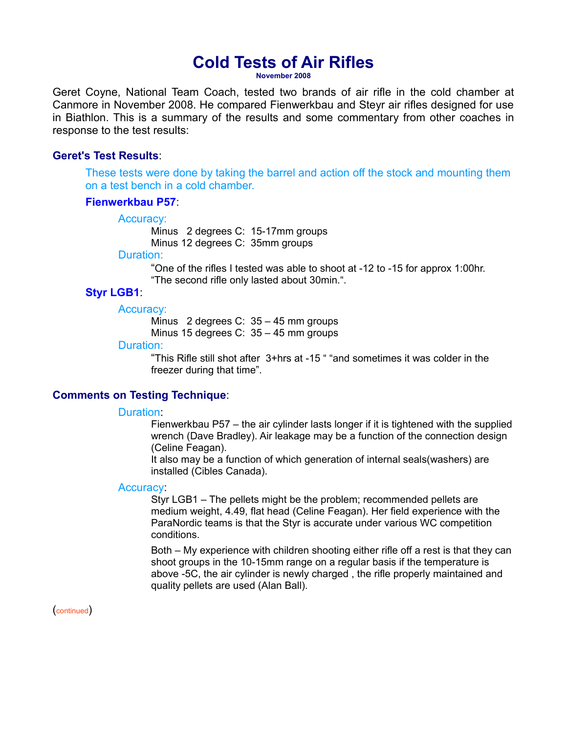# **Cold Tests of Air Rifles**

**November 2008**

Geret Coyne, National Team Coach, tested two brands of air rifle in the cold chamber at Canmore in November 2008. He compared Fienwerkbau and Steyr air rifles designed for use in Biathlon. This is a summary of the results and some commentary from other coaches in response to the test results:

# **Geret's Test Results**:

These tests were done by taking the barrel and action off the stock and mounting them on a test bench in a cold chamber.

# **Fienwerkbau P57**:

#### Accuracy:

Minus 2 degrees C: 15-17mm groups Minus 12 degrees C: 35mm groups

#### Duration:

"One of the rifles I tested was able to shoot at -12 to -15 for approx 1:00hr. "The second rifle only lasted about 30min.".

# **Styr LGB1**:

#### Accuracy:

Minus 2 degrees C: 35 – 45 mm groups

Minus 15 degrees C: 35 – 45 mm groups

# Duration:

"This Rifle still shot after 3+hrs at -15 " "and sometimes it was colder in the freezer during that time".

# **Comments on Testing Technique**:

## Duration:

Fienwerkbau P57 – the air cylinder lasts longer if it is tightened with the supplied wrench (Dave Bradley). Air leakage may be a function of the connection design (Celine Feagan).

It also may be a function of which generation of internal seals(washers) are installed (Cibles Canada).

# Accuracy:

Styr LGB1 – The pellets might be the problem; recommended pellets are medium weight, 4.49, flat head (Celine Feagan). Her field experience with the ParaNordic teams is that the Styr is accurate under various WC competition conditions.

Both – My experience with children shooting either rifle off a rest is that they can shoot groups in the 10-15mm range on a regular basis if the temperature is above -5C, the air cylinder is newly charged , the rifle properly maintained and quality pellets are used (Alan Ball).

(continued)